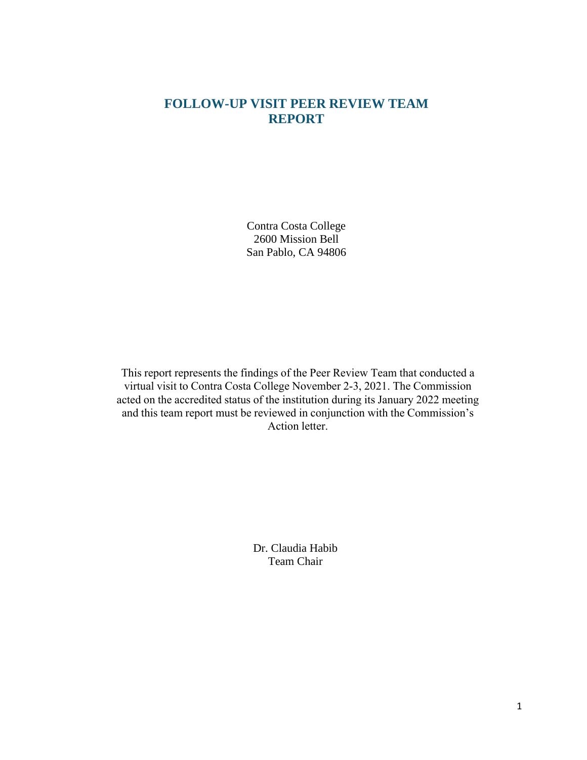# **FOLLOW-UP VISIT PEER REVIEW TEAM REPORT**

Contra Costa College 2600 Mission Bell San Pablo, CA 94806

This report represents the findings of the Peer Review Team that conducted a virtual visit to Contra Costa College November 2-3, 2021. The Commission acted on the accredited status of the institution during its January 2022 meeting and this team report must be reviewed in conjunction with the Commission's Action letter.

> Dr. Claudia Habib Team Chair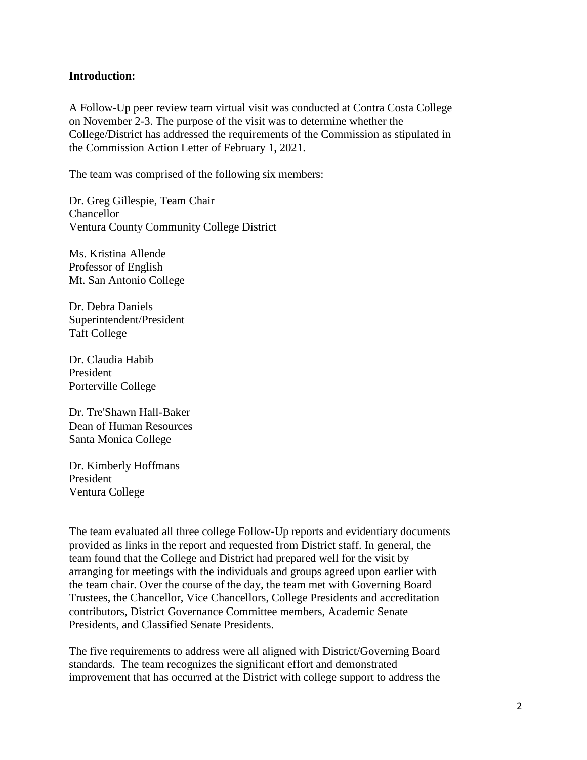#### **Introduction:**

A Follow-Up peer review team virtual visit was conducted at Contra Costa College on November 2-3. The purpose of the visit was to determine whether the College/District has addressed the requirements of the Commission as stipulated in the Commission Action Letter of February 1, 2021.

The team was comprised of the following six members:

Dr. Greg Gillespie, Team Chair Chancellor Ventura County Community College District

Ms. Kristina Allende Professor of English Mt. San Antonio College

Dr. Debra Daniels Superintendent/President Taft College

Dr. Claudia Habib President Porterville College

Dr. Tre'Shawn Hall-Baker Dean of Human Resources Santa Monica College

Dr. Kimberly Hoffmans President Ventura College

The team evaluated all three college Follow-Up reports and evidentiary documents provided as links in the report and requested from District staff. In general, the team found that the College and District had prepared well for the visit by arranging for meetings with the individuals and groups agreed upon earlier with the team chair. Over the course of the day, the team met with Governing Board Trustees, the Chancellor, Vice Chancellors, College Presidents and accreditation contributors, District Governance Committee members, Academic Senate Presidents, and Classified Senate Presidents.

The five requirements to address were all aligned with District/Governing Board standards. The team recognizes the significant effort and demonstrated improvement that has occurred at the District with college support to address the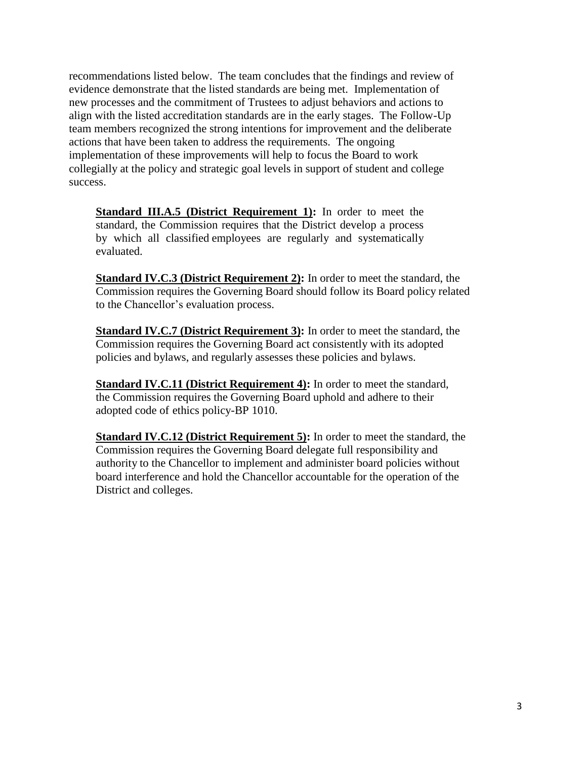recommendations listed below. The team concludes that the findings and review of evidence demonstrate that the listed standards are being met. Implementation of new processes and the commitment of Trustees to adjust behaviors and actions to align with the listed accreditation standards are in the early stages. The Follow-Up team members recognized the strong intentions for improvement and the deliberate actions that have been taken to address the requirements. The ongoing implementation of these improvements will help to focus the Board to work collegially at the policy and strategic goal levels in support of student and college success.

**Standard III.A.5 (District Requirement 1):** In order to meet the standard, the Commission requires that the District develop a process by which all classified employees are regularly and systematically evaluated.

**Standard IV.C.3 (District Requirement 2):** In order to meet the standard, the Commission requires the Governing Board should follow its Board policy related to the Chancellor's evaluation process.

**Standard IV.C.7 (District Requirement 3):** In order to meet the standard, the Commission requires the Governing Board act consistently with its adopted policies and bylaws, and regularly assesses these policies and bylaws.

**Standard IV.C.11 (District Requirement 4):** In order to meet the standard, the Commission requires the Governing Board uphold and adhere to their adopted code of ethics policy-BP 1010.

**Standard IV.C.12 (District Requirement 5):** In order to meet the standard, the Commission requires the Governing Board delegate full responsibility and authority to the Chancellor to implement and administer board policies without board interference and hold the Chancellor accountable for the operation of the District and colleges.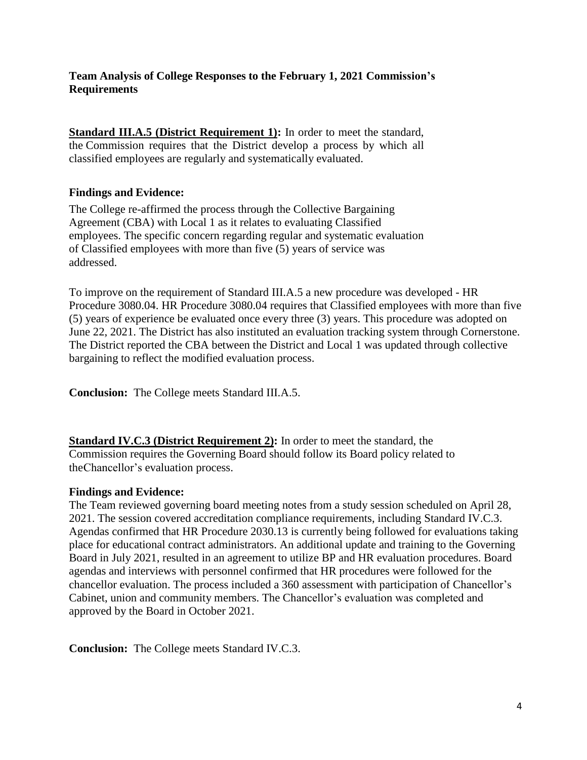### **Team Analysis of College Responses to the February 1, 2021 Commission's Requirements**

**Standard III.A.5 (District Requirement 1):** In order to meet the standard, the Commission requires that the District develop a process by which all classified employees are regularly and systematically evaluated.

### **Findings and Evidence:**

The College re-affirmed the process through the Collective Bargaining Agreement (CBA) with Local 1 as it relates to evaluating Classified employees. The specific concern regarding regular and systematic evaluation of Classified employees with more than five (5) years of service was addressed.

To improve on the requirement of Standard III.A.5 a new procedure was developed - HR Procedure 3080.04. HR Procedure 3080.04 requires that Classified employees with more than five (5) years of experience be evaluated once every three (3) years. This procedure was adopted on June 22, 2021. The District has also instituted an evaluation tracking system through Cornerstone. The District reported the CBA between the District and Local 1 was updated through collective bargaining to reflect the modified evaluation process.

**Conclusion:** The College meets Standard III.A.5.

**Standard IV.C.3 (District Requirement 2):** In order to meet the standard, the Commission requires the Governing Board should follow its Board policy related to the Chancellor's evaluation process.

#### **Findings and Evidence:**

The Team reviewed governing board meeting notes from a study session scheduled on April 28, 2021. The session covered accreditation compliance requirements, including Standard IV.C.3. Agendas confirmed that HR Procedure 2030.13 is currently being followed for evaluations taking place for educational contract administrators. An additional update and training to the Governing Board in July 2021, resulted in an agreement to utilize BP and HR evaluation procedures. Board agendas and interviews with personnel confirmed that HR procedures were followed for the chancellor evaluation. The process included a 360 assessment with participation of Chancellor's Cabinet, union and community members. The Chancellor's evaluation was completed and approved by the Board in October 2021.

**Conclusion:** The College meets Standard IV.C.3.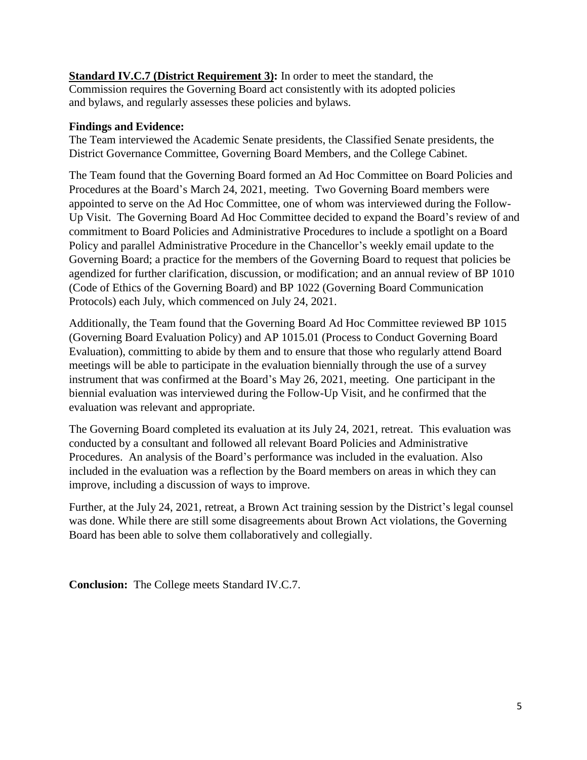**Standard IV.C.7 (District Requirement 3):** In order to meet the standard, the Commission requires the Governing Board act consistently with its adopted policies and bylaws, and regularly assesses these policies and bylaws.

### **Findings and Evidence:**

The Team interviewed the Academic Senate presidents, the Classified Senate presidents, the District Governance Committee, Governing Board Members, and the College Cabinet.

The Team found that the Governing Board formed an Ad Hoc Committee on Board Policies and Procedures at the Board's March 24, 2021, meeting. Two Governing Board members were appointed to serve on the Ad Hoc Committee, one of whom was interviewed during the Follow-Up Visit. The Governing Board Ad Hoc Committee decided to expand the Board's review of and commitment to Board Policies and Administrative Procedures to include a spotlight on a Board Policy and parallel Administrative Procedure in the Chancellor's weekly email update to the Governing Board; a practice for the members of the Governing Board to request that policies be agendized for further clarification, discussion, or modification; and an annual review of BP 1010 (Code of Ethics of the Governing Board) and BP 1022 (Governing Board Communication Protocols) each July, which commenced on July 24, 2021.

Additionally, the Team found that the Governing Board Ad Hoc Committee reviewed BP 1015 (Governing Board Evaluation Policy) and AP 1015.01 (Process to Conduct Governing Board Evaluation), committing to abide by them and to ensure that those who regularly attend Board meetings will be able to participate in the evaluation biennially through the use of a survey instrument that was confirmed at the Board's May 26, 2021, meeting. One participant in the biennial evaluation was interviewed during the Follow-Up Visit, and he confirmed that the evaluation was relevant and appropriate.

The Governing Board completed its evaluation at its July 24, 2021, retreat. This evaluation was conducted by a consultant and followed all relevant Board Policies and Administrative Procedures. An analysis of the Board's performance was included in the evaluation. Also included in the evaluation was a reflection by the Board members on areas in which they can improve, including a discussion of ways to improve.

Further, at the July 24, 2021, retreat, a Brown Act training session by the District's legal counsel was done. While there are still some disagreements about Brown Act violations, the Governing Board has been able to solve them collaboratively and collegially.

**Conclusion:** The College meets Standard IV.C.7.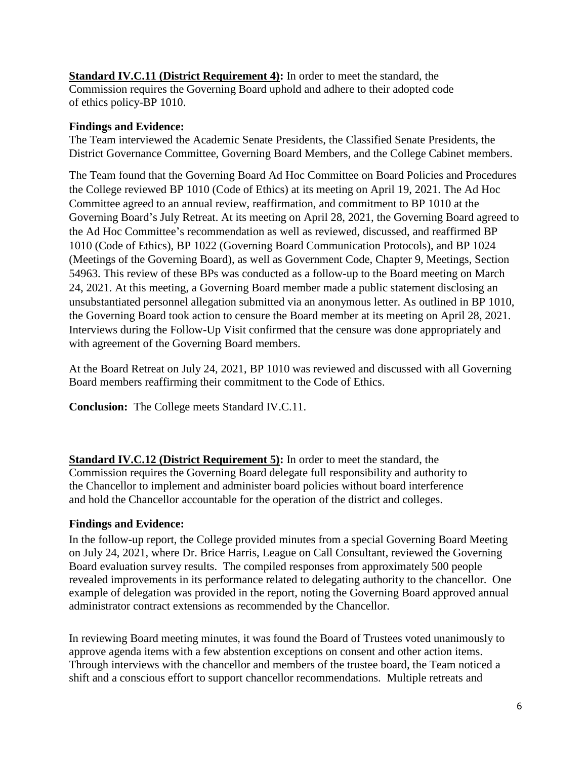**Standard IV.C.11 (District Requirement 4):** In order to meet the standard, the Commission requires the Governing Board uphold and adhere to their adopted code of ethics policy-BP 1010.

## **Findings and Evidence:**

The Team interviewed the Academic Senate Presidents, the Classified Senate Presidents, the District Governance Committee, Governing Board Members, and the College Cabinet members.

The Team found that the Governing Board Ad Hoc Committee on Board Policies and Procedures the College reviewed BP 1010 (Code of Ethics) at its meeting on April 19, 2021. The Ad Hoc Committee agreed to an annual review, reaffirmation, and commitment to BP 1010 at the Governing Board's July Retreat. At its meeting on April 28, 2021, the Governing Board agreed to the Ad Hoc Committee's recommendation as well as reviewed, discussed, and reaffirmed BP 1010 (Code of Ethics), BP 1022 (Governing Board Communication Protocols), and BP 1024 (Meetings of the Governing Board), as well as Government Code, Chapter 9, Meetings, Section 54963. This review of these BPs was conducted as a follow-up to the Board meeting on March 24, 2021. At this meeting, a Governing Board member made a public statement disclosing an unsubstantiated personnel allegation submitted via an anonymous letter. As outlined in BP 1010, the Governing Board took action to censure the Board member at its meeting on April 28, 2021. Interviews during the Follow-Up Visit confirmed that the censure was done appropriately and with agreement of the Governing Board members.

At the Board Retreat on July 24, 2021, BP 1010 was reviewed and discussed with all Governing Board members reaffirming their commitment to the Code of Ethics.

**Conclusion:** The College meets Standard IV.C.11.

**Standard IV.C.12 (District Requirement 5):** In order to meet the standard, the Commission requires the Governing Board delegate full responsibility and authority to the Chancellor to implement and administer board policies without board interference and hold the Chancellor accountable for the operation of the district and colleges.

# **Findings and Evidence:**

In the follow-up report, the College provided minutes from a special Governing Board Meeting on July 24, 2021, where Dr. Brice Harris, League on Call Consultant, reviewed the Governing Board evaluation survey results. The compiled responses from approximately 500 people revealed improvements in its performance related to delegating authority to the chancellor. One example of delegation was provided in the report, noting the Governing Board approved annual administrator contract extensions as recommended by the Chancellor.

In reviewing Board meeting minutes, it was found the Board of Trustees voted unanimously to approve agenda items with a few abstention exceptions on consent and other action items. Through interviews with the chancellor and members of the trustee board, the Team noticed a shift and a conscious effort to support chancellor recommendations. Multiple retreats and